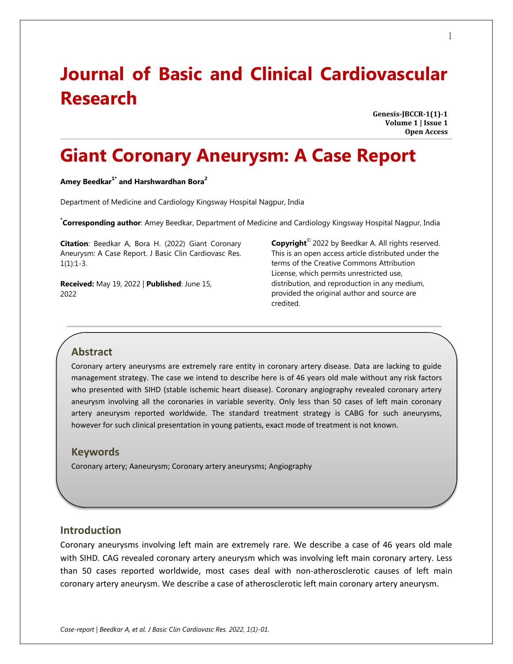# **Journal of Basic and Clinical Cardiovascular Research**

**Genesis-JBCCR-1(1)-1 Volume 1 | Issue 1 Open Access**

## **Giant Coronary Aneurysm: A Case Report**

#### **Amey Beedkar1\* and Harshwardhan Bora<sup>2</sup>**

Department of Medicine and Cardiology Kingsway Hospital Nagpur, India

**\* Corresponding author**: Amey Beedkar, Department of Medicine and Cardiology Kingsway Hospital Nagpur, India

**Citation**: Beedkar A, Bora H. (2022) Giant Coronary Aneurysm: A Case Report. J Basic Clin Cardiovasc Res.  $1(1):1-3.$ 

**Received:** May 19, 2022 | **Published**: June 15, 2022

**Copyright**© 2022 by Beedkar A. All rights reserved. This is an open access article distributed under the terms of the Creative Commons Attribution License, which permits unrestricted use, distribution, and reproduction in any medium, provided the original author and source are credited.

## **Abstract**

Coronary artery aneurysms are extremely rare entity in coronary artery disease. Data are lacking to guide management strategy. The case we intend to describe here is of 46 years old male without any risk factors who presented with SIHD (stable ischemic heart disease). Coronary angiography revealed coronary artery aneurysm involving all the coronaries in variable severity. Only less than 50 cases of left main coronary artery aneurysm reported worldwide. The standard treatment strategy is CABG for such aneurysms, however for such clinical presentation in young patients, exact mode of treatment is not known.

#### **Keywords**

Coronary artery; Aaneurysm; Coronary artery aneurysms; Angiography

#### **Introduction**

Coronary aneurysms involving left main are extremely rare. We describe a case of 46 years old male with SIHD. CAG revealed coronary artery aneurysm which was involving left main coronary artery. Less than 50 cases reported worldwide, most cases deal with non-atherosclerotic causes of left main coronary artery aneurysm. We describe a case of atherosclerotic left main coronary artery aneurysm.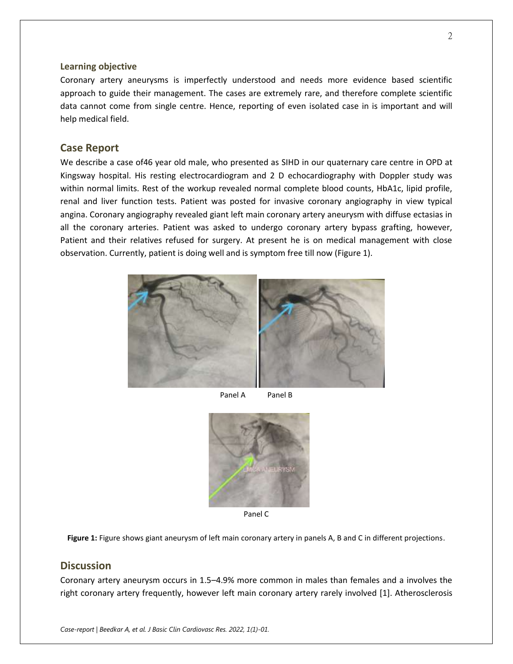#### **Learning objective**

Coronary artery aneurysms is imperfectly understood and needs more evidence based scientific approach to guide their management. The cases are extremely rare, and therefore complete scientific data cannot come from single centre. Hence, reporting of even isolated case in is important and will help medical field.

#### **Case Report**

We describe a case of46 year old male, who presented as SIHD in our quaternary care centre in OPD at Kingsway hospital. His resting electrocardiogram and 2 D echocardiography with Doppler study was within normal limits. Rest of the workup revealed normal complete blood counts, HbA1c, lipid profile, renal and liver function tests. Patient was posted for invasive coronary angiography in view typical angina. Coronary angiography revealed giant left main coronary artery aneurysm with diffuse ectasias in all the coronary arteries. Patient was asked to undergo coronary artery bypass grafting, however, Patient and their relatives refused for surgery. At present he is on medical management with close observation. Currently, patient is doing well and is symptom free till now (Figure 1).



Panel A Panel B



Panel C

**Figure 1:** Figure shows giant aneurysm of left main coronary artery in panels A, B and C in different projections.

## **Discussion**

Coronary artery aneurysm occurs in 1.5–4.9% more common in males than females and a involves the right coronary artery frequently, however left main coronary artery rarely involved [1]. Atherosclerosis